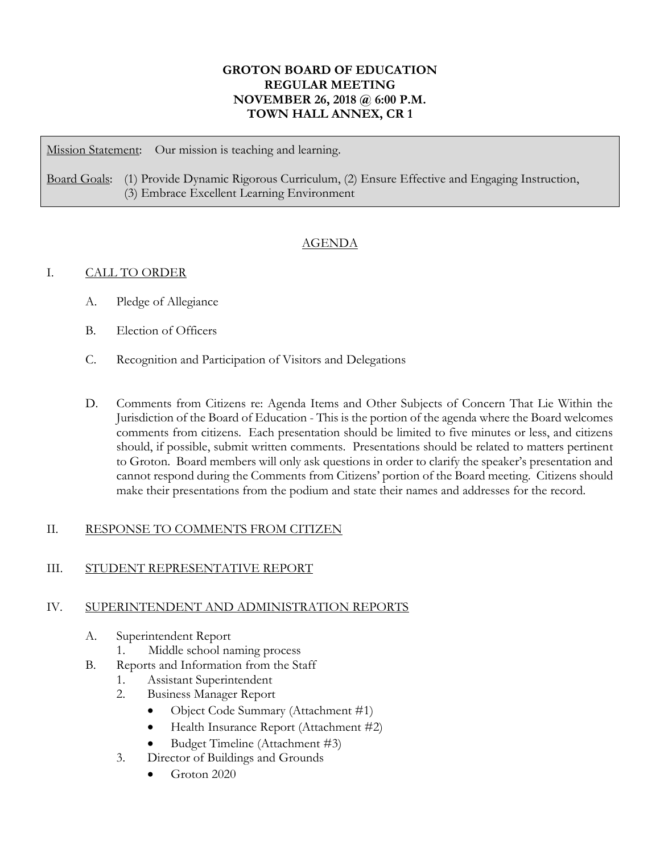## **GROTON BOARD OF EDUCATION REGULAR MEETING NOVEMBER 26, 2018 @ 6:00 P.M. TOWN HALL ANNEX, CR 1**

Mission Statement: Our mission is teaching and learning.

Board Goals: (1) Provide Dynamic Rigorous Curriculum, (2) Ensure Effective and Engaging Instruction, (3) Embrace Excellent Learning Environment

# AGENDA

## I. CALL TO ORDER

- A. Pledge of Allegiance
- B. Election of Officers
- C. Recognition and Participation of Visitors and Delegations
- D. Comments from Citizens re: Agenda Items and Other Subjects of Concern That Lie Within the Jurisdiction of the Board of Education - This is the portion of the agenda where the Board welcomes comments from citizens. Each presentation should be limited to five minutes or less, and citizens should, if possible, submit written comments. Presentations should be related to matters pertinent to Groton. Board members will only ask questions in order to clarify the speaker's presentation and cannot respond during the Comments from Citizens' portion of the Board meeting. Citizens should make their presentations from the podium and state their names and addresses for the record.

## II. RESPONSE TO COMMENTS FROM CITIZEN

#### III. STUDENT REPRESENTATIVE REPORT

#### IV. SUPERINTENDENT AND ADMINISTRATION REPORTS

- A. Superintendent Report
	- 1. Middle school naming process
- B. Reports and Information from the Staff
	- 1. Assistant Superintendent
	- 2. Business Manager Report
		- Object Code Summary (Attachment #1)
		- Health Insurance Report (Attachment #2)
		- Budget Timeline (Attachment #3)
	- 3. Director of Buildings and Grounds
		- Groton 2020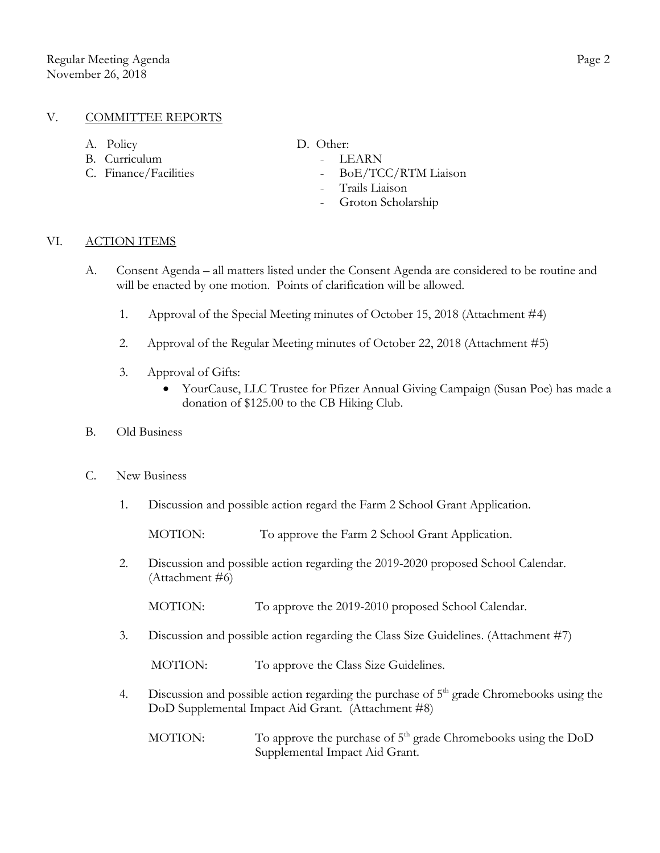#### V. COMMITTEE REPORTS

- A. Policy D. Other:
- B. Curriculum LEARN
- 

- 
- C. Finance/Facilities BoE/TCC/RTM Liaison
	- Trails Liaison
	- Groton Scholarship

### VI. ACTION ITEMS

- A. Consent Agenda all matters listed under the Consent Agenda are considered to be routine and will be enacted by one motion. Points of clarification will be allowed.
	- 1. Approval of the Special Meeting minutes of October 15, 2018 (Attachment #4)
	- 2. Approval of the Regular Meeting minutes of October 22, 2018 (Attachment #5)
	- 3. Approval of Gifts:
		- YourCause, LLC Trustee for Pfizer Annual Giving Campaign (Susan Poe) has made a donation of \$125.00 to the CB Hiking Club.
- B. Old Business
- C. New Business
	- 1. Discussion and possible action regard the Farm 2 School Grant Application.

MOTION: To approve the Farm 2 School Grant Application.

2. Discussion and possible action regarding the 2019-2020 proposed School Calendar. (Attachment #6)

MOTION: To approve the 2019-2010 proposed School Calendar.

3. Discussion and possible action regarding the Class Size Guidelines. (Attachment #7)

MOTION: To approve the Class Size Guidelines.

- 4. Discussion and possible action regarding the purchase of  $5<sup>th</sup>$  grade Chromebooks using the DoD Supplemental Impact Aid Grant. (Attachment #8)
	- MOTION: To approve the purchase of  $5<sup>th</sup>$  grade Chromebooks using the DoD Supplemental Impact Aid Grant.